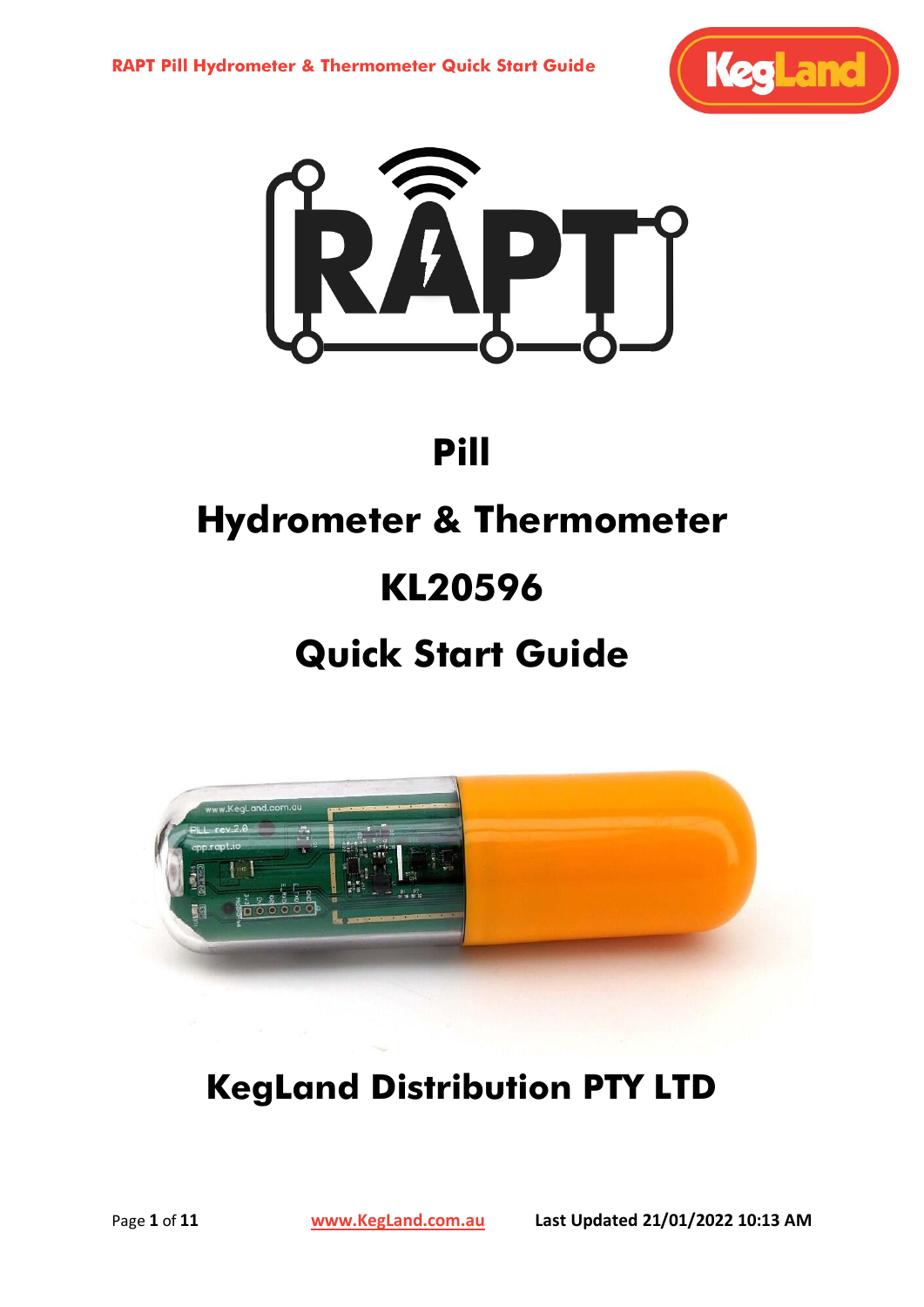



# **Pill**

# **Hydrometer & Thermometer**

# **KL20596**

# **Quick Start Guide**



**KegLand Distribution PTY LTD**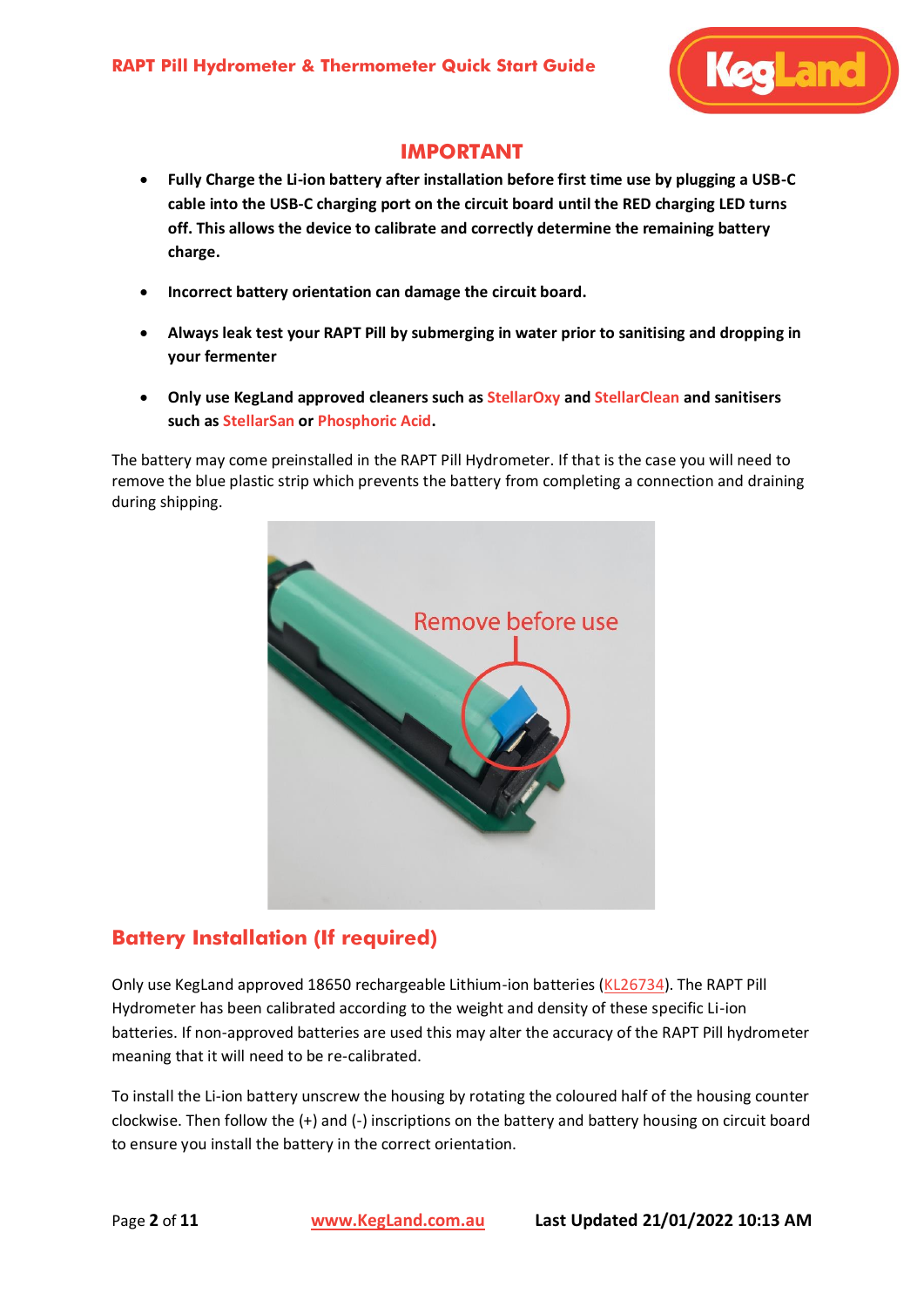

### **IMPORTANT**

- **Fully Charge the Li-ion battery after installation before first time use by plugging a USB-C cable into the USB-C charging port on the circuit board until the RED charging LED turns off. This allows the device to calibrate and correctly determine the remaining battery charge.**
- **Incorrect battery orientation can damage the circuit board.**
- **Always leak test your RAPT Pill by submerging in water prior to sanitising and dropping in your fermenter**
- **Only use KegLand approved cleaners such a[s StellarOxy](https://www.kegland.com.au/stellaroxy-100-sodium-percarbonate.html) an[d StellarClean](https://www.kegland.com.au/stellarclean-pbw-powerful-brewing-wash-brewery-cleaner-beer-line-cleaner-keg-wash.html) and sanitisers such a[s StellarSan](https://www.kegland.com.au/phosphoric-acid-blend-sanitiser-500ml-starsan.html) o[r Phosphoric Acid.](https://www.kegland.com.au/pure-phosphoric-acid-85-pure-500ml.html)**

The battery may come preinstalled in the RAPT Pill Hydrometer. If that is the case you will need to remove the blue plastic strip which prevents the battery from completing a connection and draining during shipping.



# **Battery Installation (If required)**

Only use KegLand approved 18650 rechargeable Lithium-ion batteries [\(KL26734\)](https://www.kegland.com.au/lithium-ion-rechargeable-battery-3200mah-18650-3-60v.html). The RAPT Pill Hydrometer has been calibrated according to the weight and density of these specific Li-ion batteries. If non-approved batteries are used this may alter the accuracy of the RAPT Pill hydrometer meaning that it will need to be re-calibrated.

To install the Li-ion battery unscrew the housing by rotating the coloured half of the housing counter clockwise. Then follow the (+) and (-) inscriptions on the battery and battery housing on circuit board to ensure you install the battery in the correct orientation.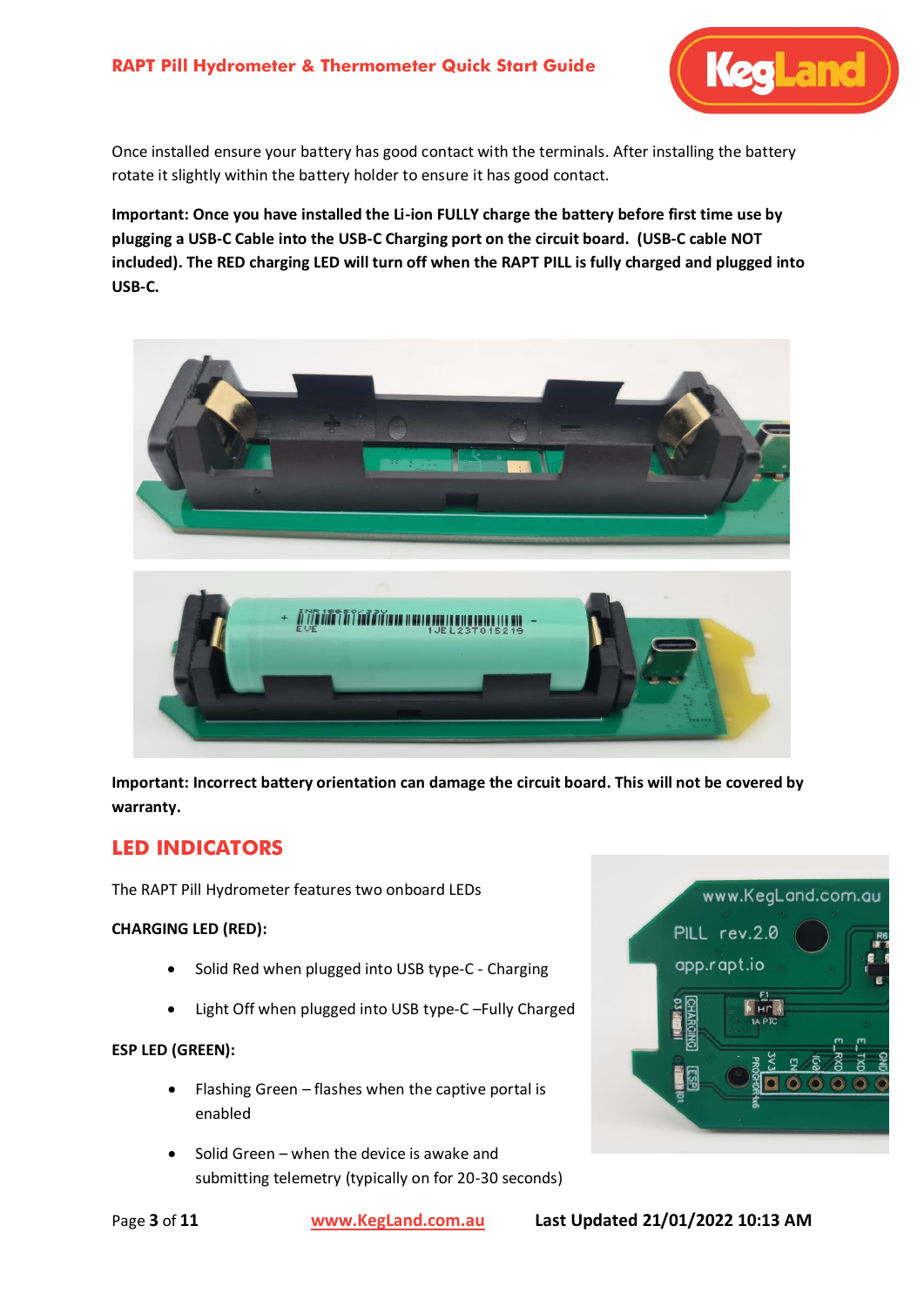

Once installed ensure your battery has good contact with the terminals. After installing the battery rotate it slightly within the battery holder to ensure it has good contact.

**Important: Once you have installed the Li-ion FULLY charge the battery before first time use by plugging a USB-C Cable into the USB-C Charging port on the circuit board. (USB-C cable NOT included). The RED charging LED will turn off when the RAPT PILL is fully charged and plugged into USB-C.**



**Important: Incorrect battery orientation can damage the circuit board. This will not be covered by warranty.**

### **LED INDICATORS**

The RAPT Pill Hydrometer features two onboard LEDs

### **CHARGING LED (RED):**

- Solid Red when plugged into USB type-C Charging
- Light Off when plugged into USB type-C –Fully Charged

### **ESP LED (GREEN):**

- Flashing Green flashes when the captive portal is enabled
- Solid Green when the device is awake and submitting telemetry (typically on for 20-30 seconds)

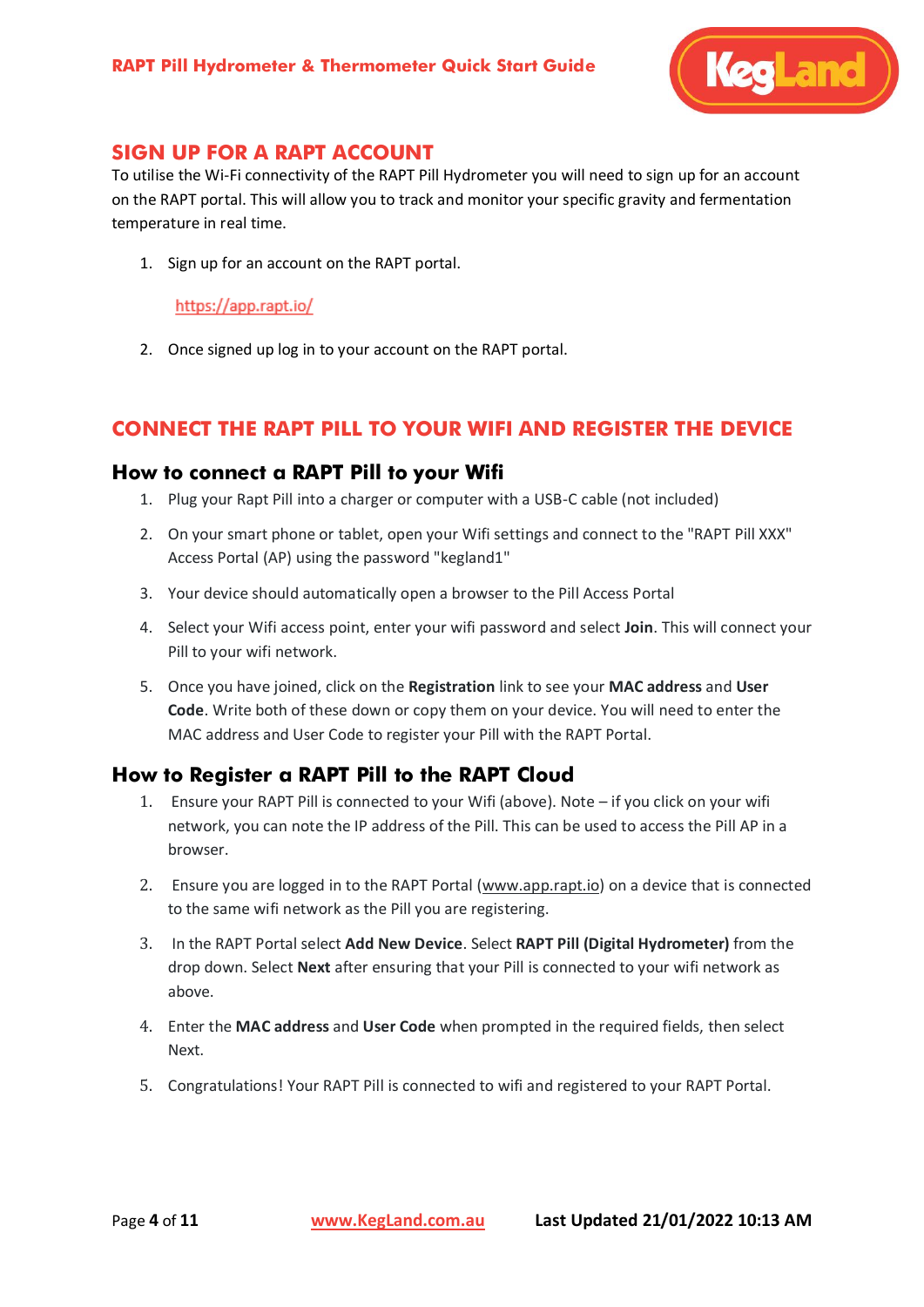

### **SIGN UP FOR A RAPT ACCOUNT**

To utilise the Wi-Fi connectivity of the RAPT Pill Hydrometer you will need to sign up for an account on the RAPT portal. This will allow you to track and monitor your specific gravity and fermentation temperature in real time.

1. Sign up for an account on the RAPT portal.

### https://app.rapt.io/

2. Once signed up log in to your account on the RAPT portal.

# **CONNECT THE RAPT PILL TO YOUR WIFI AND REGISTER THE DEVICE**

### **How to connect a RAPT Pill to your Wifi**

- 1. Plug your Rapt Pill into a charger or computer with a USB-C cable (not included)
- 2. On your smart phone or tablet, open your Wifi settings and connect to the "RAPT Pill XXX" Access Portal (AP) using the password "kegland1"
- 3. Your device should automatically open a browser to the Pill Access Portal
- 4. Select your Wifi access point, enter your wifi password and select **Join**. This will connect your Pill to your wifi network.
- 5. Once you have joined, click on the **Registration** link to see your **MAC address** and **User Code**. Write both of these down or copy them on your device. You will need to enter the MAC address and User Code to register your Pill with the RAPT Portal.

# **How to Register a RAPT Pill to the RAPT Cloud**

- 1. Ensure your RAPT Pill is connected to your Wifi (above). Note if you click on your wifi network, you can note the IP address of the Pill. This can be used to access the Pill AP in a browser.
- 2. Ensure you are logged in to the RAPT Portal [\(www.app.rapt.io\)](http://www.app.rapt.io/) on a device that is connected to the same wifi network as the Pill you are registering.
- 3. In the RAPT Portal select **Add New Device**. Select **RAPT Pill (Digital Hydrometer)** from the drop down. Select **Next** after ensuring that your Pill is connected to your wifi network as above.
- 4. Enter the **MAC address** and **User Code** when prompted in the required fields, then select Next.
- 5. Congratulations! Your RAPT Pill is connected to wifi and registered to your RAPT Portal.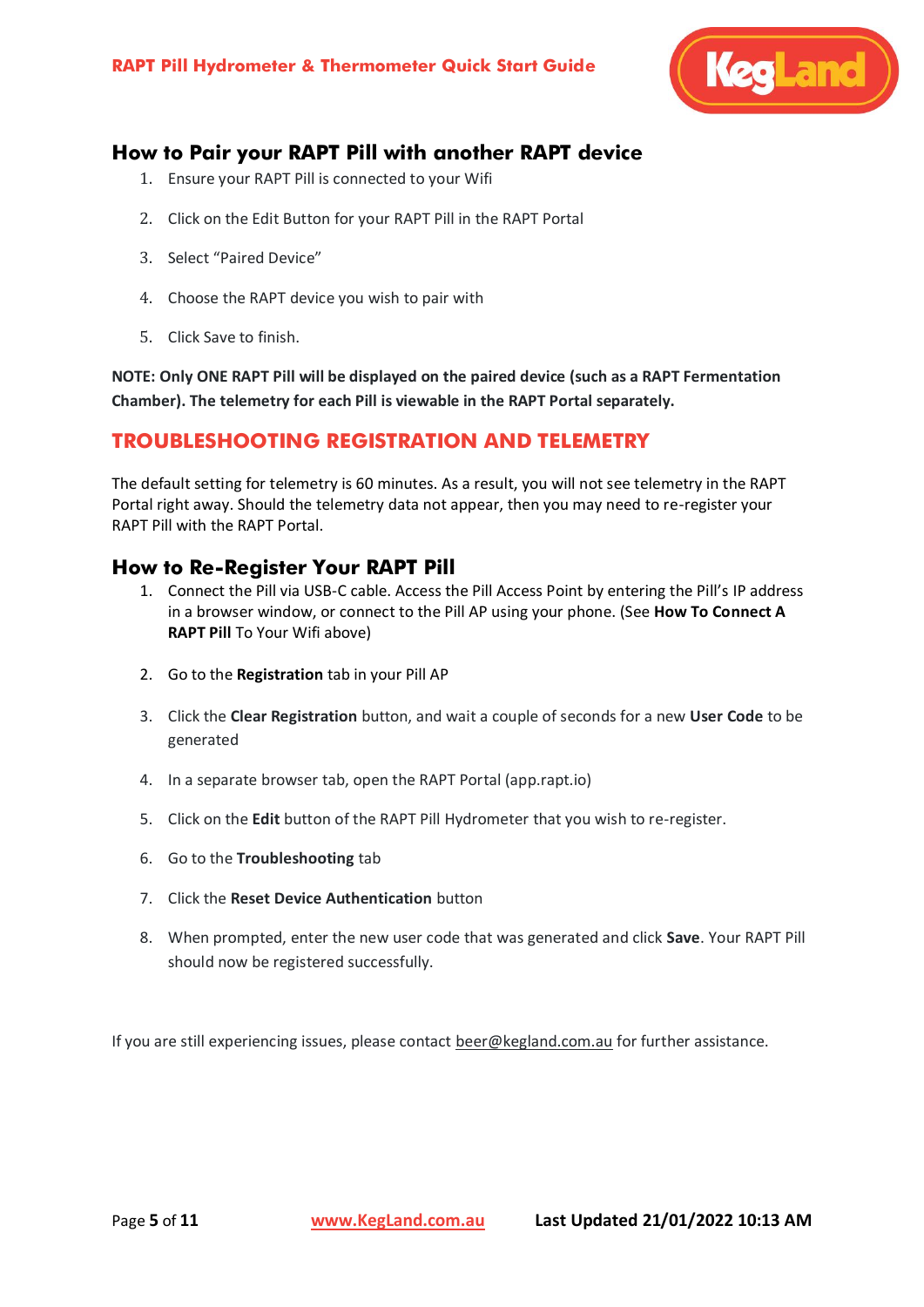

### **How to Pair your RAPT Pill with another RAPT device**

- 1. Ensure your RAPT Pill is connected to your Wifi
- 2. Click on the Edit Button for your RAPT Pill in the RAPT Portal
- 3. Select "Paired Device"
- 4. Choose the RAPT device you wish to pair with
- 5. Click Save to finish.

**NOTE: Only ONE RAPT Pill will be displayed on the paired device (such as a RAPT Fermentation Chamber). The telemetry for each Pill is viewable in the RAPT Portal separately.**

### **TROUBLESHOOTING REGISTRATION AND TELEMETRY**

The default setting for telemetry is 60 minutes. As a result, you will not see telemetry in the RAPT Portal right away. Should the telemetry data not appear, then you may need to re-register your RAPT Pill with the RAPT Portal.

### **How to Re-Register Your RAPT Pill**

- 1. Connect the Pill via USB-C cable. Access the Pill Access Point by entering the Pill's IP address in a browser window, or connect to the Pill AP using your phone. (See **How To Connect A RAPT Pill** To Your Wifi above)
- 2. Go to the **Registration** tab in your Pill AP
- 3. Click the **Clear Registration** button, and wait a couple of seconds for a new **User Code** to be generated
- 4. In a separate browser tab, open the RAPT Portal (app.rapt.io)
- 5. Click on the **Edit** button of the RAPT Pill Hydrometer that you wish to re-register.
- 6. Go to the **Troubleshooting** tab
- 7. Click the **Reset Device Authentication** button
- 8. When prompted, enter the new user code that was generated and click **Save**. Your RAPT Pill should now be registered successfully.

If you are still experiencing issues, please contact [beer@kegland.com.au](mailto:beer@kegland.com.au) for further assistance.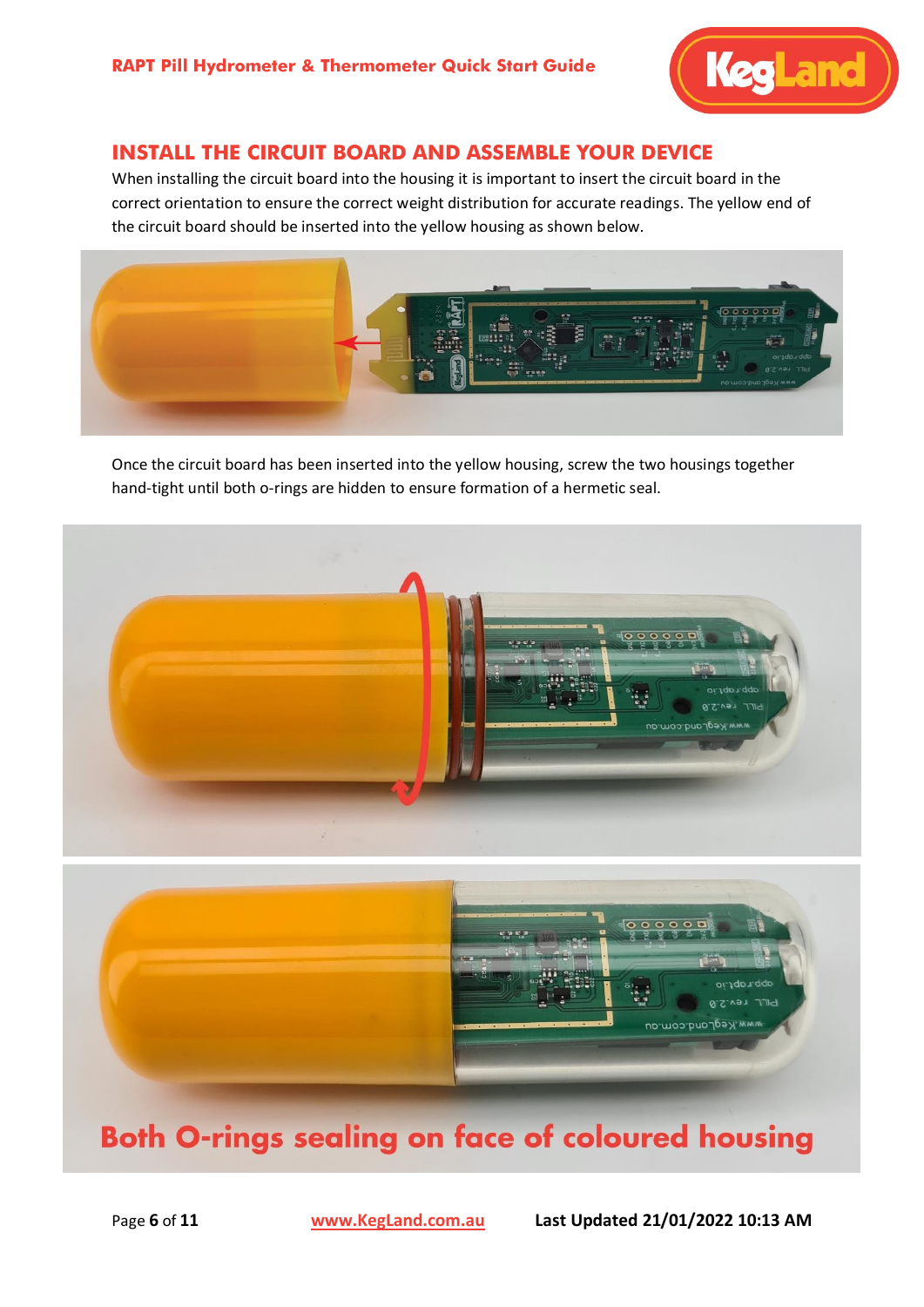

# **INSTALL THE CIRCUIT BOARD AND ASSEMBLE YOUR DEVICE**

When installing the circuit board into the housing it is important to insert the circuit board in the correct orientation to ensure the correct weight distribution for accurate readings. The yellow end of the circuit board should be inserted into the yellow housing as shown below.



Once the circuit board has been inserted into the yellow housing, screw the two housings together hand-tight until both o-rings are hidden to ensure formation of a hermetic seal.



# **Both O-rings sealing on face of coloured housing**

Page **6** of **11 [www.KegLand.com.au](https://www.kegland.com.au/) Last Updated 21/01/2022 10:13 AM**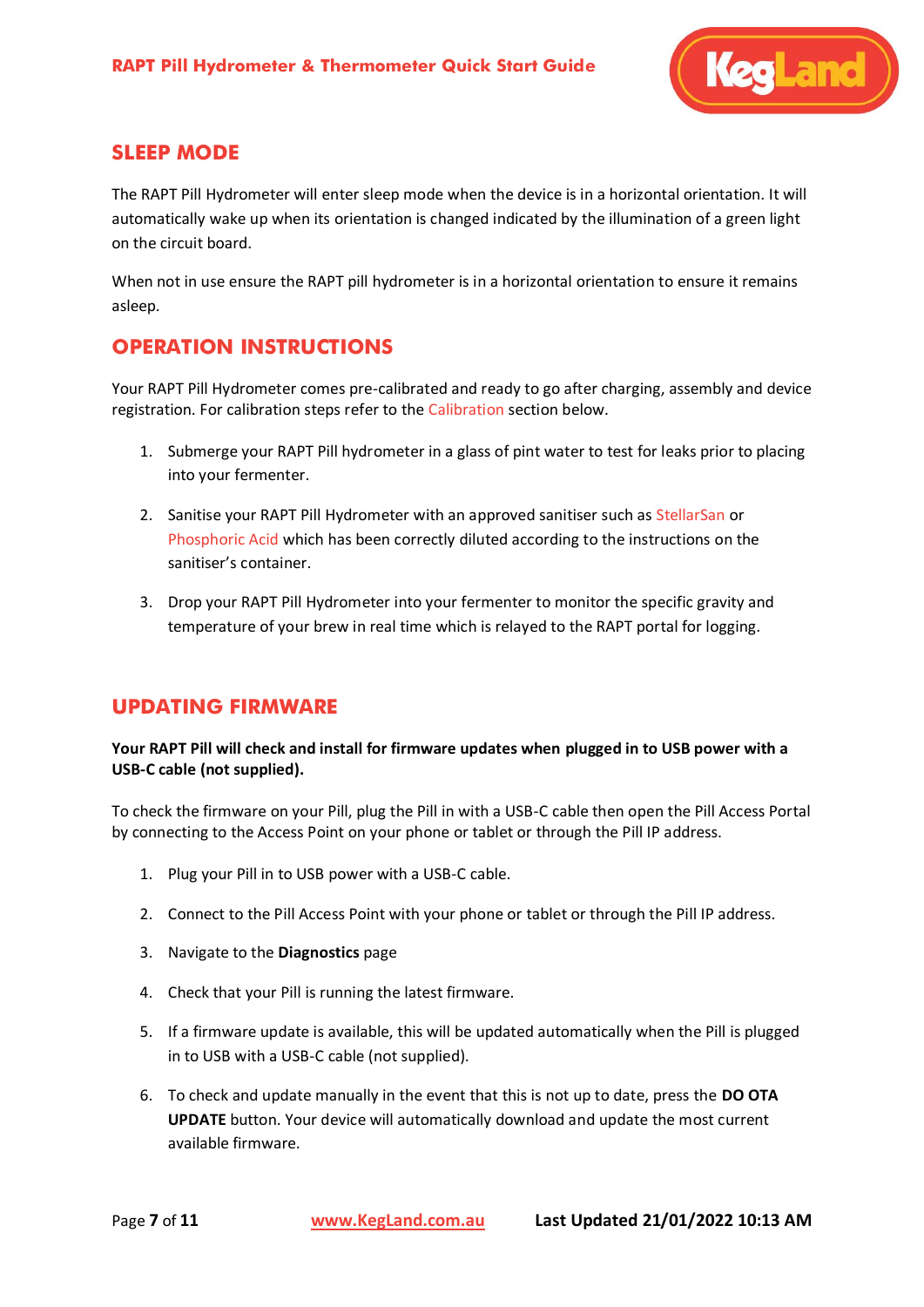

# **SLEEP MODE**

The RAPT Pill Hydrometer will enter sleep mode when the device is in a horizontal orientation. It will automatically wake up when its orientation is changed indicated by the illumination of a green light on the circuit board.

When not in use ensure the RAPT pill hydrometer is in a horizontal orientation to ensure it remains asleep.

# **OPERATION INSTRUCTIONS**

Your RAPT Pill Hydrometer comes pre-calibrated and ready to go after charging, assembly and device registration. For calibration steps refer to the [Calibration](#page-7-0) section below.

- 1. Submerge your RAPT Pill hydrometer in a glass of pint water to test for leaks prior to placing into your fermenter.
- 2. Sanitise your RAPT Pill Hydrometer with an approved sanitiser such as [StellarSan](https://www.kegland.com.au/phosphoric-acid-blend-sanitiser-500ml-starsan.html) or [Phosphoric Acid](https://www.kegland.com.au/pure-phosphoric-acid-85-pure-500ml.html) which has been correctly diluted according to the instructions on the sanitiser's container.
- 3. Drop your RAPT Pill Hydrometer into your fermenter to monitor the specific gravity and temperature of your brew in real time which is relayed to the RAPT portal for logging.

### **UPDATING FIRMWARE**

### **Your RAPT Pill will check and install for firmware updates when plugged in to USB power with a USB-C cable (not supplied).**

To check the firmware on your Pill, plug the Pill in with a USB-C cable then open the Pill Access Portal by connecting to the Access Point on your phone or tablet or through the Pill IP address.

- 1. Plug your Pill in to USB power with a USB-C cable.
- 2. Connect to the Pill Access Point with your phone or tablet or through the Pill IP address.
- 3. Navigate to the **Diagnostics** page
- 4. Check that your Pill is running the latest firmware.
- 5. If a firmware update is available, this will be updated automatically when the Pill is plugged in to USB with a USB-C cable (not supplied).
- 6. To check and update manually in the event that this is not up to date, press the **DO OTA UPDATE** button. Your device will automatically download and update the most current available firmware.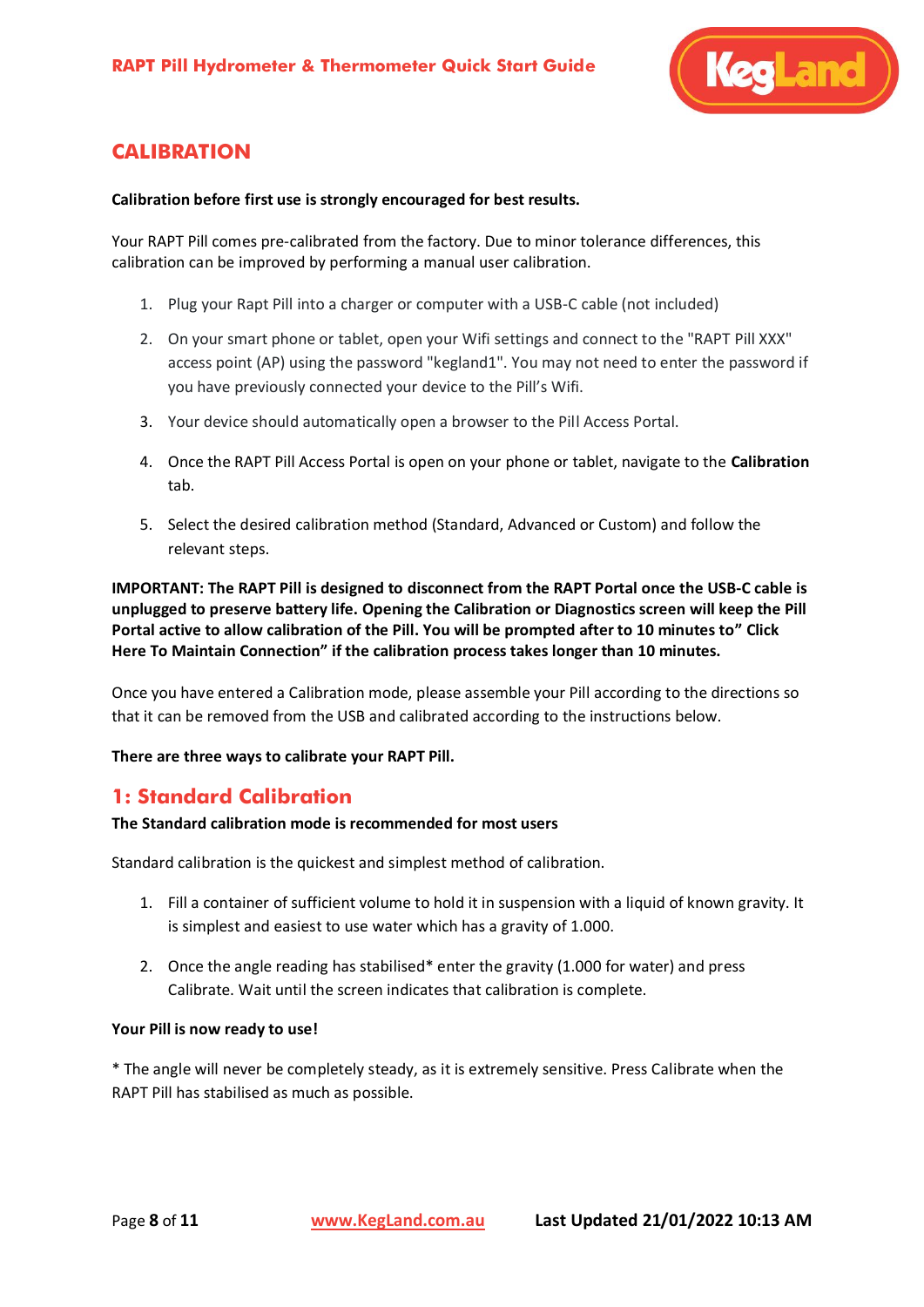

# <span id="page-7-0"></span>**CALIBRATION**

### **Calibration before first use is strongly encouraged for best results.**

Your RAPT Pill comes pre-calibrated from the factory. Due to minor tolerance differences, this calibration can be improved by performing a manual user calibration.

- 1. Plug your Rapt Pill into a charger or computer with a USB-C cable (not included)
- 2. On your smart phone or tablet, open your Wifi settings and connect to the "RAPT Pill XXX" access point (AP) using the password "kegland1". You may not need to enter the password if you have previously connected your device to the Pill's Wifi.
- 3. Your device should automatically open a browser to the Pill Access Portal.
- 4. Once the RAPT Pill Access Portal is open on your phone or tablet, navigate to the **Calibration** tab.
- 5. Select the desired calibration method (Standard, Advanced or Custom) and follow the relevant steps.

**IMPORTANT: The RAPT Pill is designed to disconnect from the RAPT Portal once the USB-C cable is unplugged to preserve battery life. Opening the Calibration or Diagnostics screen will keep the Pill Portal active to allow calibration of the Pill. You will be prompted after to 10 minutes to" Click Here To Maintain Connection" if the calibration process takes longer than 10 minutes.**

Once you have entered a Calibration mode, please assemble your Pill according to the directions so that it can be removed from the USB and calibrated according to the instructions below.

**There are three ways to calibrate your RAPT Pill.**

### **1: Standard Calibration**

### **The Standard calibration mode is recommended for most users**

Standard calibration is the quickest and simplest method of calibration.

- 1. Fill a container of sufficient volume to hold it in suspension with a liquid of known gravity. It is simplest and easiest to use water which has a gravity of 1.000.
- 2. Once the angle reading has stabilised\* enter the gravity (1.000 for water) and press Calibrate. Wait until the screen indicates that calibration is complete.

#### **Your Pill is now ready to use!**

\* The angle will never be completely steady, as it is extremely sensitive. Press Calibrate when the RAPT Pill has stabilised as much as possible.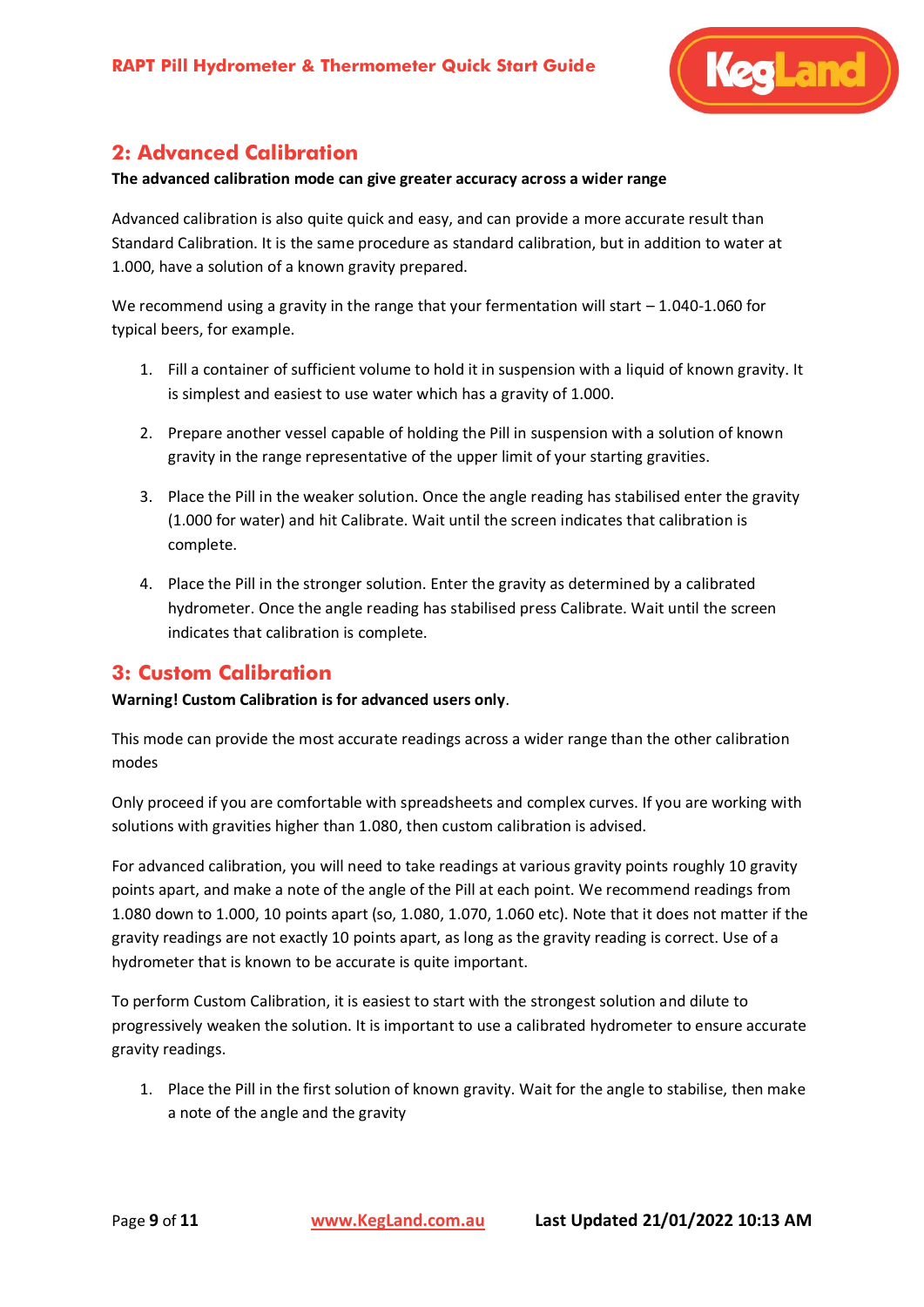

# **2: Advanced Calibration**

### **The advanced calibration mode can give greater accuracy across a wider range**

Advanced calibration is also quite quick and easy, and can provide a more accurate result than Standard Calibration. It is the same procedure as standard calibration, but in addition to water at 1.000, have a solution of a known gravity prepared.

We recommend using a gravity in the range that your fermentation will start  $-1.040$ -1.060 for typical beers, for example.

- 1. Fill a container of sufficient volume to hold it in suspension with a liquid of known gravity. It is simplest and easiest to use water which has a gravity of 1.000.
- 2. Prepare another vessel capable of holding the Pill in suspension with a solution of known gravity in the range representative of the upper limit of your starting gravities.
- 3. Place the Pill in the weaker solution. Once the angle reading has stabilised enter the gravity (1.000 for water) and hit Calibrate. Wait until the screen indicates that calibration is complete.
- 4. Place the Pill in the stronger solution. Enter the gravity as determined by a calibrated hydrometer. Once the angle reading has stabilised press Calibrate. Wait until the screen indicates that calibration is complete.

### **3: Custom Calibration**

### **Warning! Custom Calibration is for advanced users only**.

This mode can provide the most accurate readings across a wider range than the other calibration modes

Only proceed if you are comfortable with spreadsheets and complex curves. If you are working with solutions with gravities higher than 1.080, then custom calibration is advised.

For advanced calibration, you will need to take readings at various gravity points roughly 10 gravity points apart, and make a note of the angle of the Pill at each point. We recommend readings from 1.080 down to 1.000, 10 points apart (so, 1.080, 1.070, 1.060 etc). Note that it does not matter if the gravity readings are not exactly 10 points apart, as long as the gravity reading is correct. Use of a hydrometer that is known to be accurate is quite important.

To perform Custom Calibration, it is easiest to start with the strongest solution and dilute to progressively weaken the solution. It is important to use a calibrated hydrometer to ensure accurate gravity readings.

1. Place the Pill in the first solution of known gravity. Wait for the angle to stabilise, then make a note of the angle and the gravity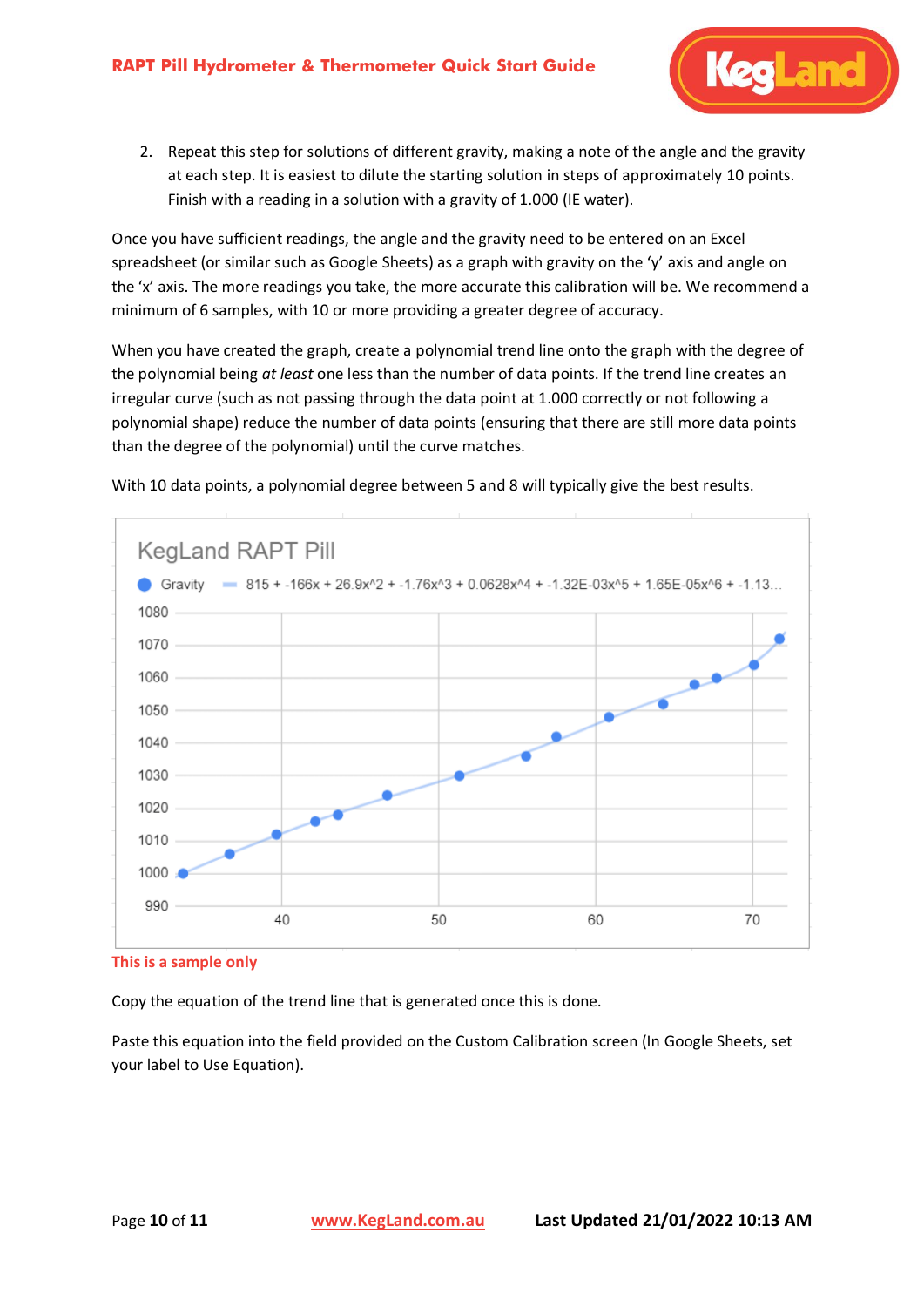

2. Repeat this step for solutions of different gravity, making a note of the angle and the gravity at each step. It is easiest to dilute the starting solution in steps of approximately 10 points. Finish with a reading in a solution with a gravity of 1.000 (IE water).

Once you have sufficient readings, the angle and the gravity need to be entered on an Excel spreadsheet (or similar such as Google Sheets) as a graph with gravity on the 'y' axis and angle on the 'x' axis. The more readings you take, the more accurate this calibration will be. We recommend a minimum of 6 samples, with 10 or more providing a greater degree of accuracy.

When you have created the graph, create a polynomial trend line onto the graph with the degree of the polynomial being *at least* one less than the number of data points. If the trend line creates an irregular curve (such as not passing through the data point at 1.000 correctly or not following a polynomial shape) reduce the number of data points (ensuring that there are still more data points than the degree of the polynomial) until the curve matches.



With 10 data points, a polynomial degree between 5 and 8 will typically give the best results.



Copy the equation of the trend line that is generated once this is done.

Paste this equation into the field provided on the Custom Calibration screen (In Google Sheets, set your label to Use Equation).